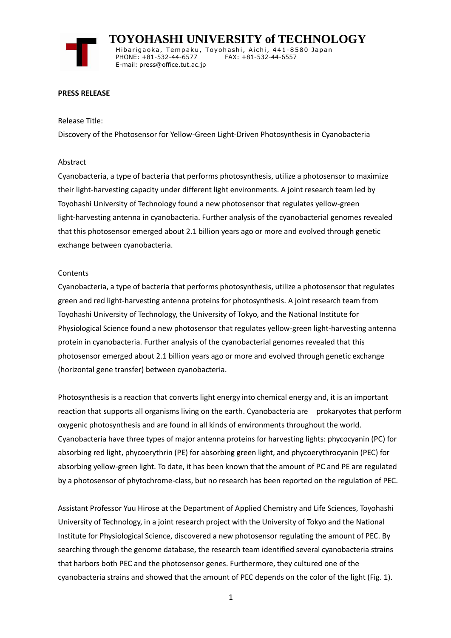

 **TOYOHASHI UNIVERSITY of TECHNOLOGY**

Hibarigaoka, Tempaku, Toyohashi, Aichi, 441-8580 Japan PHONE: +81-532-44-6577 FAX: +81-532-44-6557 E-mail: press@office.tut.ac.jp

## **PRESS RELEASE**

#### Release Title:

Discovery of the Photosensor for Yellow-Green Light-Driven Photosynthesis in Cyanobacteria

# Abstract

Cyanobacteria, a type of bacteria that performs photosynthesis, utilize a photosensor to maximize their light-harvesting capacity under different light environments. A joint research team led by Toyohashi University of Technology found a new photosensor that regulates yellow-green light-harvesting antenna in cyanobacteria. Further analysis of the cyanobacterial genomes revealed that this photosensor emerged about 2.1 billion years ago or more and evolved through genetic exchange between cyanobacteria.

## **Contents**

Cyanobacteria, a type of bacteria that performs photosynthesis, utilize a photosensor that regulates green and red light-harvesting antenna proteins for photosynthesis. A joint research team from Toyohashi University of Technology, the University of Tokyo, and the National Institute for Physiological Science found a new photosensor that regulates yellow-green light-harvesting antenna protein in cyanobacteria. Further analysis of the cyanobacterial genomes revealed that this photosensor emerged about 2.1 billion years ago or more and evolved through genetic exchange (horizontal gene transfer) between cyanobacteria.

Photosynthesis is a reaction that converts light energy into chemical energy and, it is an important reaction that supports all organisms living on the earth. Cyanobacteria are prokaryotes that perform oxygenic photosynthesis and are found in all kinds of environments throughout the world. Cyanobacteria have three types of major antenna proteins for harvesting lights: phycocyanin (PC) for absorbing red light, phycoerythrin (PE) for absorbing green light, and phycoerythrocyanin (PEC) for absorbing yellow-green light. To date, it has been known that the amount of PC and PE are regulated by a photosensor of phytochrome-class, but no research has been reported on the regulation of PEC.

Assistant Professor Yuu Hirose at the Department of Applied Chemistry and Life Sciences, Toyohashi University of Technology, in a joint research project with the University of Tokyo and the National Institute for Physiological Science, discovered a new photosensor regulating the amount of PEC. By searching through the genome database, the research team identified several cyanobacteria strains that harbors both PEC and the photosensor genes. Furthermore, they cultured one of the cyanobacteria strains and showed that the amount of PEC depends on the color of the light (Fig. 1).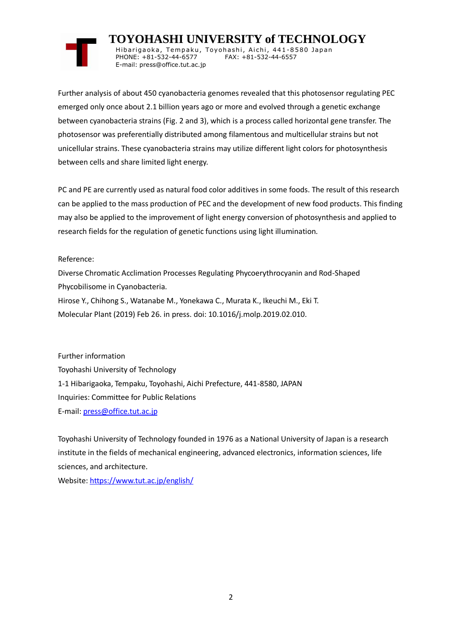# **TOYOHASHI UNIVERSITY of TECHNOLOGY**

Hibarigaoka, Tempaku, Toyohashi, Aichi, 441-8580 Japan PHONE: +81-532-44-6577 FAX: +81-532-44-6557 E-mail: press@office.tut.ac.jp

Further analysis of about 450 cyanobacteria genomes revealed that this photosensor regulating PEC emerged only once about 2.1 billion years ago or more and evolved through a genetic exchange between cyanobacteria strains (Fig. 2 and 3), which is a process called horizontal gene transfer. The photosensor was preferentially distributed among filamentous and multicellular strains but not unicellular strains. These cyanobacteria strains may utilize different light colors for photosynthesis between cells and share limited light energy.

PC and PE are currently used as natural food color additives in some foods. The result of this research can be applied to the mass production of PEC and the development of new food products. This finding may also be applied to the improvement of light energy conversion of photosynthesis and applied to research fields for the regulation of genetic functions using light illumination.

Reference:

Diverse Chromatic Acclimation Processes Regulating Phycoerythrocyanin and Rod-Shaped Phycobilisome in Cyanobacteria. Hirose Y., Chihong S., Watanabe M., Yonekawa C., Murata K., Ikeuchi M., Eki T. Molecular Plant (2019) Feb 26. in press. doi: 10.1016/j.molp.2019.02.010.

Further information Toyohashi University of Technology 1-1 Hibarigaoka, Tempaku, Toyohashi, Aichi Prefecture, 441-8580, JAPAN Inquiries: Committee for Public Relations E-mail: [press@office.tut.ac.jp](mailto:press@office.tut.ac.jp)

Toyohashi University of Technology founded in 1976 as a National University of Japan is a research institute in the fields of mechanical engineering, advanced electronics, information sciences, life sciences, and architecture.

Website[: https://www.tut.ac.jp/english/](https://www.tut.ac.jp/english/)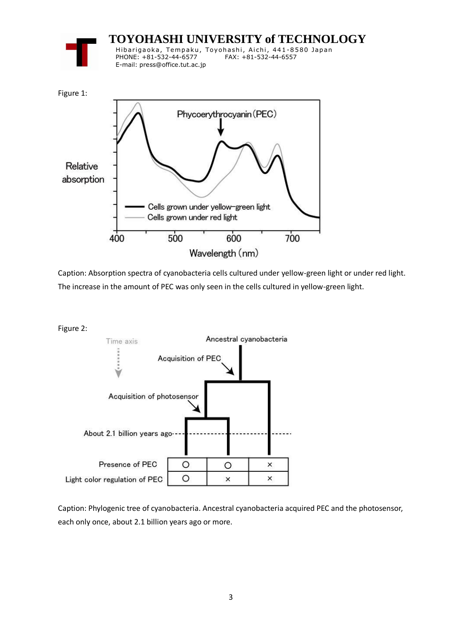



Caption: Absorption spectra of cyanobacteria cells cultured under yellow-green light or under red light. The increase in the amount of PEC was only seen in the cells cultured in yellow-green light.

Figure 2:



Caption: Phylogenic tree of cyanobacteria. Ancestral cyanobacteria acquired PEC and the photosensor, each only once, about 2.1 billion years ago or more.